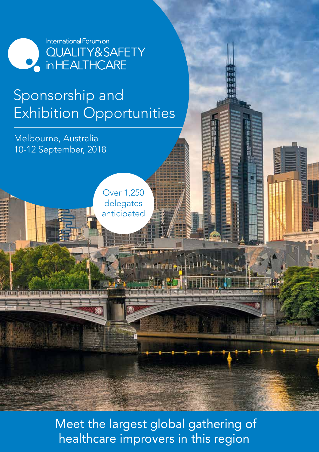

## Sponsorship and Exhibition Opportunities

Melbourne, Australia 10-12 September, 2018

<u>ie) in an finn) fien fien fam fam ein ein austmeter</u>

Over 1,250 delegates anticipated

 Meet the largest global gathering of healthcare improvers in this region

**Hall Modeling of The House**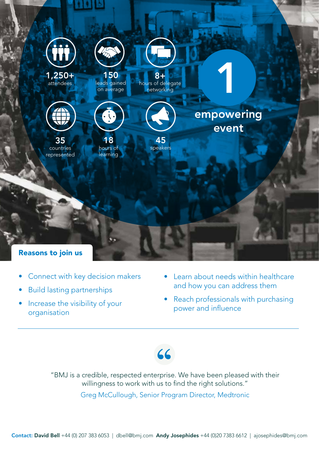

- Connect with key decision makers
- Build lasting partnerships
- Increase the visibility of your organisation
- Learn about needs within healthcare and how you can address them
- Reach professionals with purchasing power and influence



"BMJ is a credible, respected enterprise. We have been pleased with their willingness to work with us to find the right solutions."

Greg McCullough, Senior Program Director, Medtronic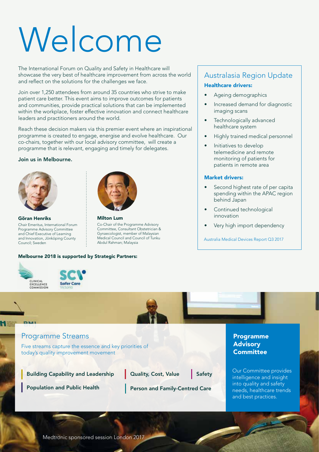# Welcome

The International Forum on Quality and Safety in Healthcare will showcase the very best of healthcare improvement from across the world and reflect on the solutions for the challenges we face.

Join over 1,250 attendees from around 35 countries who strive to make patient care better. This event aims to improve outcomes for patients and communities, provide practical solutions that can be implemented within the workplace, foster effective innovation and connect healthcare leaders and practitioners around the world.

Reach these decision makers via this premier event where an inspirational programme is created to engage, energise and evolve healthcare. Our co-chairs, together with our local advisory committee, will create a programme that is relevant, engaging and timely for delegates.

#### Join us in Melbourne.



Göran Henriks Chair Emeritus, International Forum Programme Advisory Committee and Chief Executive of Learning and Innovation, Jönköping County Council; Sweden



Milton Lum Co-Chair of the Programme Advisory Committee, Consultant Obstetrician & Gynaecologist, member of Malaysian Medical Council and Council of Tunku Abdul Rahman; Malaysia

#### Melbourne 2018 is supported by Strategic Partners:







## Australasia Region Update Healthcare drivers:

- Ageing demographics
- Increased demand for diagnostic imaging scans
- Technologically advanced healthcare system
- Highly trained medical personnel
- Initiatives to develop telemedicine and remote monitoring of patients for patients in remote area

#### Market drivers:

- Second highest rate of per capita spending within the APAC region behind Japan
- Continued technological innovation
- Very high import dependency

Australia Medical Devices Report Q3 2017

#### Programme Streams

Five streams capture the essence and key priorities of today's quality improvement movement

Building Capability and Leadership

Quality, Cost, Value Safety

Population and Public Health Person and Family-Centred Care

#### Programme **Advisory Committee**

Our Committee provides intelligence and insight into quality and safety needs, healthcare trends and best practices.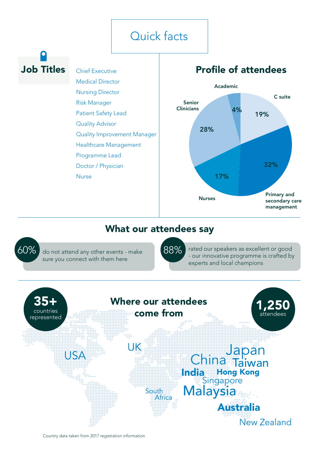## Quick facts

## Job Titles Chief Executive

Medical Director Nursing Director Risk Manager Patient Safety Lead Quality Advisor Quality Improvement Manager Healthcare Management Programme Lead Doctor / Physician Nurse

## Profile of attendees



Australia

New Zealand

## What our attendees say

60% 88%rated our speakers as excellent or good do not attend any other events - make - our innovative programme is crafted by sure you connect with them here experts and local champions 35+ Where our attendees 1,250 come from countries attendees represented JK lapan USA Taiwan India Hong Kong Singapore South Africa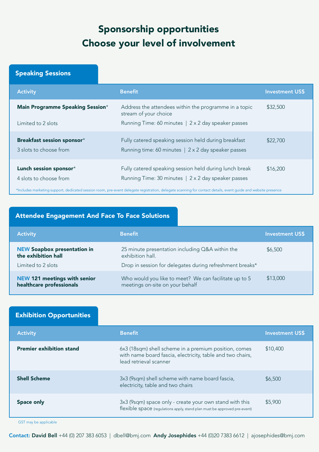## Sponsorship opportunities Choose your level of involvement

### Speaking Sessions

| <b>Activity</b>                                        | <b>Benefit</b>                                                                                                                                                                                                                                                                 | <b>Investment US\$</b> |
|--------------------------------------------------------|--------------------------------------------------------------------------------------------------------------------------------------------------------------------------------------------------------------------------------------------------------------------------------|------------------------|
| Main Programme Speaking Session*<br>Limited to 2 slots | Address the attendees within the programme in a topic<br>stream of your choice<br>Running Time: 60 minutes   2 x 2 day speaker passes                                                                                                                                          | \$32,500               |
| Breakfast session sponsor*<br>3 slots to choose from   | Fully catered speaking session held during breakfast<br>Running time: 60 minutes   2 x 2 day speaker passes                                                                                                                                                                    | \$22,700               |
| Lunch session sponsor*<br>4 slots to choose from       | Fully catered speaking session held during lunch break<br>Running Time: 30 minutes   2 x 2 day speaker passes<br>*Includes marketing support, dedicated session room, pre-event delegate registration, delegate scanning for contact details, event guide and website presence | \$16,200               |

#### Attendee Engagement And Face To Face Solutions

| <b>Activity</b>                                           | <b>Benefit</b>                                                                           | <b>Investment US\$</b> |
|-----------------------------------------------------------|------------------------------------------------------------------------------------------|------------------------|
| <b>NEW Soapbox presentation in</b><br>the exhibition hall | 25 minute presentation including Q&A within the<br>exhibition hall.                      | \$6,500                |
| Limited to 2 slots                                        | Drop in session for delegates during refreshment breaks*                                 |                        |
| NEW 121 meetings with senior<br>healthcare professionals  | Who would you like to meet? We can facilitate up to 5<br>meetings on-site on your behalf | \$13,000               |

#### Activity Benefit Investment US\$ Exhibition Opportunities Premier exhibition stand Shell Scheme Space only 6x3 (18sqm) shell scheme in a premium position, comes with name board fascia, electricity, table and two chairs, lead retrieval scanner 3x3 (9sqm) shell scheme with name board fascia, electricity, table and two chairs 3x3 (9sqm) space only - create your own stand with this flexible space (regulations apply, stand plan must be approved pre-event) \$6,500 \$10,400 \$5,900

GST may be applicable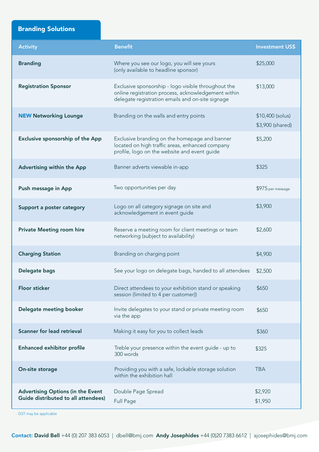Branding Solutions

| <b>Activity</b>                                                                 | <b>Benefit</b>                                                                                                                                                 | <b>Investment US\$</b>               |
|---------------------------------------------------------------------------------|----------------------------------------------------------------------------------------------------------------------------------------------------------------|--------------------------------------|
| <b>Branding</b>                                                                 | Where you see our logo, you will see yours<br>(only available to headline sponsor)                                                                             | \$25,000                             |
| <b>Registration Sponsor</b>                                                     | Exclusive sponsorship - logo visible throughout the<br>online registration process, acknowledgement within<br>delegate registration emails and on-site signage | \$13,000                             |
| <b>NEW Networking Lounge</b>                                                    | Branding on the walls and entry points                                                                                                                         | \$10,400 (solus)<br>\$3,900 (shared) |
| Exclusive sponsorship of the App                                                | Exclusive branding on the homepage and banner<br>located on high traffic areas, enhanced company<br>profile, logo on the website and event guide               | \$5,200                              |
| Advertising within the App                                                      | Banner adverts viewable in-app                                                                                                                                 | \$325                                |
| Push message in App                                                             | Two opportunities per day                                                                                                                                      | \$975 per message                    |
| Support a poster category                                                       | Logo on all category signage on site and<br>acknowledgement in event guide                                                                                     | \$3,900                              |
| <b>Private Meeting room hire</b>                                                | Reserve a meeting room for client meetings or team<br>networking (subject to availability)                                                                     | \$2,600                              |
| <b>Charging Station</b>                                                         | Branding on charging point                                                                                                                                     | \$4,900                              |
| Delegate bags                                                                   | See your logo on delegate bags, handed to all attendees                                                                                                        | \$2,500                              |
| <b>Floor sticker</b>                                                            | Direct attendees to your exhibition stand or speaking<br>session (limited to 4 per customer))                                                                  | \$650                                |
| Delegate meeting booker                                                         | Invite delegates to your stand or private meeting room<br>via the app                                                                                          | \$650                                |
| <b>Scanner for lead retrieval</b>                                               | Making it easy for you to collect leads                                                                                                                        | \$360                                |
| <b>Enhanced exhibitor profile</b>                                               | Treble your presence within the event guide - up to<br>300 words                                                                                               | \$325                                |
| On-site storage                                                                 | Providing you with a safe, lockable storage solution<br>within the exhibition hall                                                                             | <b>TBA</b>                           |
| <b>Advertising Options (in the Event</b><br>Guide distributed to all attendees) | Double Page Spread<br>Full Page                                                                                                                                | \$2,920<br>\$1,950                   |

GST may be applicable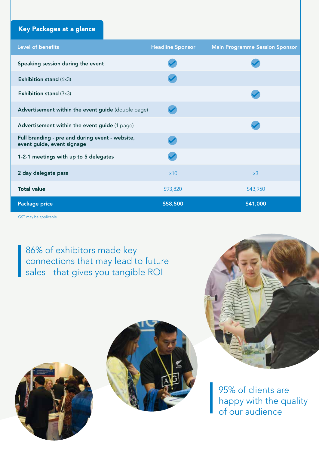## Key Packages at a glance

| Level of benefits                                                             | <b>Headline Sponsor</b> | <b>Main Programme Session Sponsor</b> |
|-------------------------------------------------------------------------------|-------------------------|---------------------------------------|
| Speaking session during the event                                             |                         |                                       |
| Exhibition stand (6x3)                                                        |                         |                                       |
| <b>Exhibition stand (3x3)</b>                                                 |                         |                                       |
| Advertisement within the event guide (double page)                            |                         |                                       |
| Advertisement within the event guide (1 page)                                 |                         |                                       |
| Full branding - pre and during event - website,<br>event guide, event signage |                         |                                       |
| 1-2-1 meetings with up to 5 delegates                                         |                         |                                       |
| 2 day delegate pass                                                           | x10                     | x3                                    |
| <b>Total value</b>                                                            | \$93,820                | \$43,950                              |
| Package price                                                                 | \$58,500                | \$41,000                              |

GST may be applicable

I

86% of exhibitors made key connections that may lead to future sales - that gives you tangible ROI





95% of clients are happy with the quality of our audience